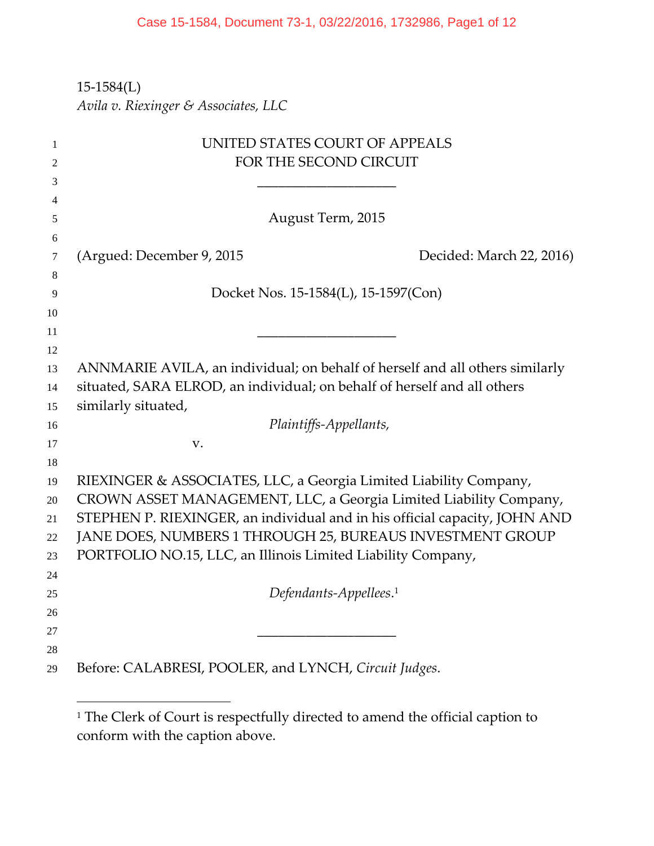‐1584(L)

 $\overline{a}$ 

*Avila v. Riexinger & Associates, LLC*

| 1  | UNITED STATES COURT OF APPEALS                                               |
|----|------------------------------------------------------------------------------|
| 2  | FOR THE SECOND CIRCUIT                                                       |
| 3  |                                                                              |
| 4  |                                                                              |
| 5  | August Term, 2015                                                            |
| 6  |                                                                              |
| 7  | (Argued: December 9, 2015<br>Decided: March 22, 2016)                        |
| 8  |                                                                              |
| 9  | Docket Nos. 15-1584(L), 15-1597(Con)                                         |
| 10 |                                                                              |
| 11 |                                                                              |
| 12 |                                                                              |
| 13 | ANNMARIE AVILA, an individual; on behalf of herself and all others similarly |
| 14 | situated, SARA ELROD, an individual; on behalf of herself and all others     |
| 15 | similarly situated,                                                          |
| 16 | Plaintiffs-Appellants,                                                       |
| 17 | V.                                                                           |
| 18 |                                                                              |
| 19 | RIEXINGER & ASSOCIATES, LLC, a Georgia Limited Liability Company,            |
| 20 | CROWN ASSET MANAGEMENT, LLC, a Georgia Limited Liability Company,            |
| 21 | STEPHEN P. RIEXINGER, an individual and in his official capacity, JOHN AND   |
| 22 | JANE DOES, NUMBERS 1 THROUGH 25, BUREAUS INVESTMENT GROUP                    |
| 23 | PORTFOLIO NO.15, LLC, an Illinois Limited Liability Company,                 |
| 24 |                                                                              |
| 25 | Defendants-Appellees. <sup>1</sup>                                           |
| 26 |                                                                              |
| 27 |                                                                              |
| 28 |                                                                              |
| 29 | Before: CALABRESI, POOLER, and LYNCH, Circuit Judges.                        |
|    |                                                                              |

<sup>&</sup>lt;sup>1</sup> The Clerk of Court is respectfully directed to amend the official caption to conform with the caption above.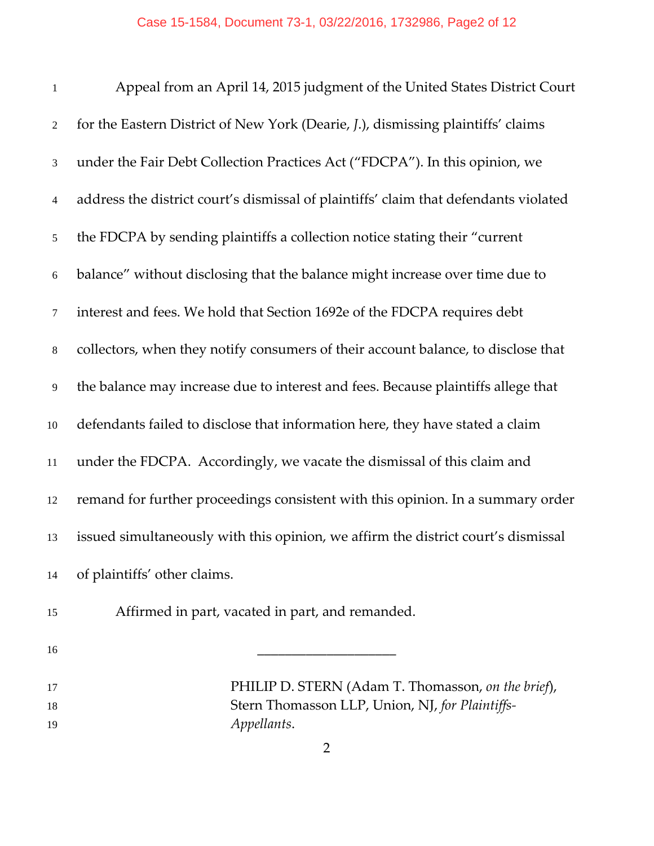| $\mathbf{1}$   | Appeal from an April 14, 2015 judgment of the United States District Court           |
|----------------|--------------------------------------------------------------------------------------|
| $\overline{2}$ | for the Eastern District of New York (Dearie, J.), dismissing plaintiffs' claims     |
| 3              | under the Fair Debt Collection Practices Act ("FDCPA"). In this opinion, we          |
| $\overline{4}$ | address the district court's dismissal of plaintiffs' claim that defendants violated |
| $\mathfrak{S}$ | the FDCPA by sending plaintiffs a collection notice stating their "current"          |
| $\sqrt{6}$     | balance" without disclosing that the balance might increase over time due to         |
| $\tau$         | interest and fees. We hold that Section 1692e of the FDCPA requires debt             |
| $\,8\,$        | collectors, when they notify consumers of their account balance, to disclose that    |
| 9              | the balance may increase due to interest and fees. Because plaintiffs allege that    |
| $10\,$         | defendants failed to disclose that information here, they have stated a claim        |
| 11             | under the FDCPA. Accordingly, we vacate the dismissal of this claim and              |
| 12             | remand for further proceedings consistent with this opinion. In a summary order      |
| 13             | issued simultaneously with this opinion, we affirm the district court's dismissal    |
| 14             | of plaintiffs' other claims.                                                         |
| 15             | Affirmed in part, vacated in part, and remanded.                                     |
| 16             |                                                                                      |
|                |                                                                                      |

PHILIP D. STERN (Adam T. Thomasson, *on the brief*), Stern Thomasson LLP, Union, NJ, *for Plaintiffs‐ Appellants*.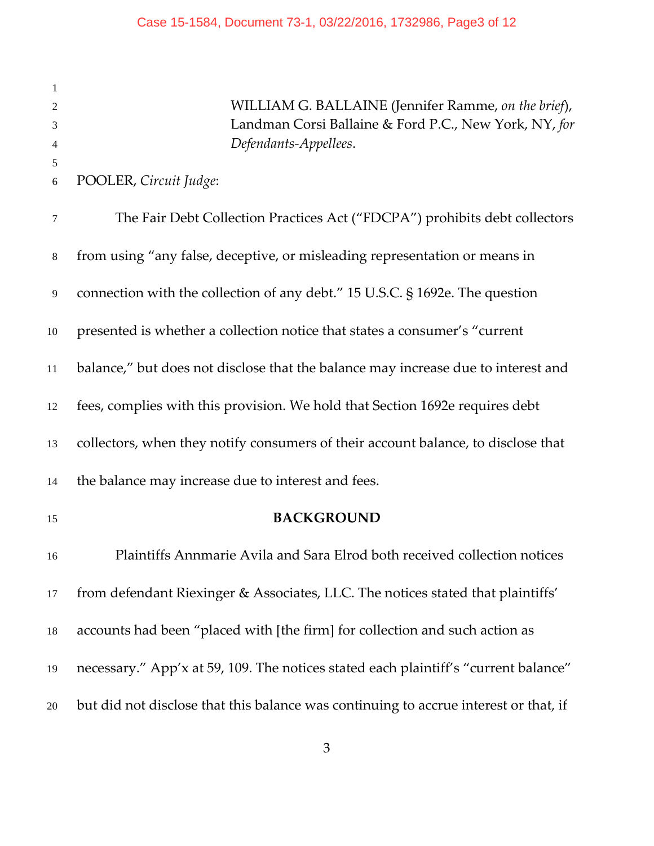WILLIAM G. BALLAINE (Jennifer Ramme, *on the brief*), Landman Corsi Ballaine & Ford P.C., New York, NY, *for Defendants‐Appellees*. POOLER, *Circuit Judge*: The Fair Debt Collection Practices Act ("FDCPA") prohibits debt collectors from using "any false, deceptive, or misleading representation or means in connection with the collection of any debt." 15 U.S.C. § 1692e. The question presented is whether a collection notice that states a consumer's "current balance," but does not disclose that the balance may increase due to interest and fees, complies with this provision. We hold that Section 1692e requires debt collectors, when they notify consumers of their account balance, to disclose that the balance may increase due to interest and fees. **BACKGROUND** Plaintiffs Annmarie Avila and Sara Elrod both received collection notices from defendant Riexinger & Associates, LLC. The notices stated that plaintiffs' accounts had been "placed with [the firm] for collection and such action as necessary." App'x at 59, 109. The notices stated each plaintiff's "current balance" but did not disclose that this balance was continuing to accrue interest or that, if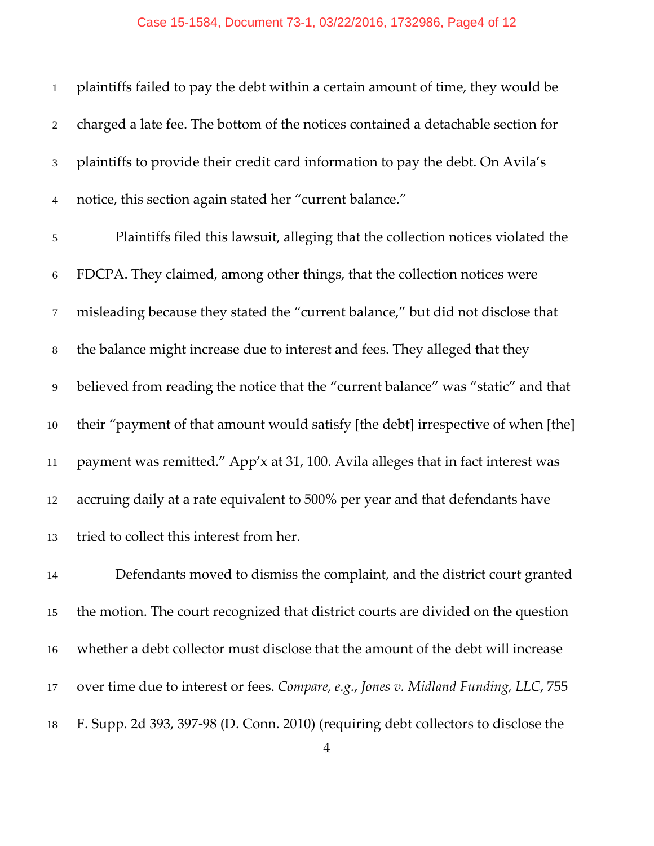#### Case 15-1584, Document 73-1, 03/22/2016, 1732986, Page4 of 12

| $\mathbf{1}$     | plaintiffs failed to pay the debt within a certain amount of time, they would be  |
|------------------|-----------------------------------------------------------------------------------|
| $\overline{2}$   | charged a late fee. The bottom of the notices contained a detachable section for  |
| 3                | plaintiffs to provide their credit card information to pay the debt. On Avila's   |
| $\overline{4}$   | notice, this section again stated her "current balance."                          |
| $\mathfrak{S}$   | Plaintiffs filed this lawsuit, alleging that the collection notices violated the  |
| $\sqrt{6}$       | FDCPA. They claimed, among other things, that the collection notices were         |
| $\boldsymbol{7}$ | misleading because they stated the "current balance," but did not disclose that   |
| $\,8\,$          | the balance might increase due to interest and fees. They alleged that they       |
| $\overline{9}$   | believed from reading the notice that the "current balance" was "static" and that |
| $10\,$           | their "payment of that amount would satisfy [the debt] irrespective of when [the] |
| $11\,$           | payment was remitted." App'x at 31, 100. Avila alleges that in fact interest was  |
| 12               | accruing daily at a rate equivalent to 500% per year and that defendants have     |
| 13               | tried to collect this interest from her.                                          |
| 14               | Defendants moved to dismiss the complaint, and the district court granted         |
| 15               | the motion. The court recognized that district courts are divided on the question |
| 16               | whether a debt collector must disclose that the amount of the debt will increase  |

over time due to interest or fees. *Compare, e.g.*, *Jones v. Midland Funding, LLC*, 755

F. Supp. 2d 393, 397‐98 (D. Conn. 2010) (requiring debt collectors to disclose the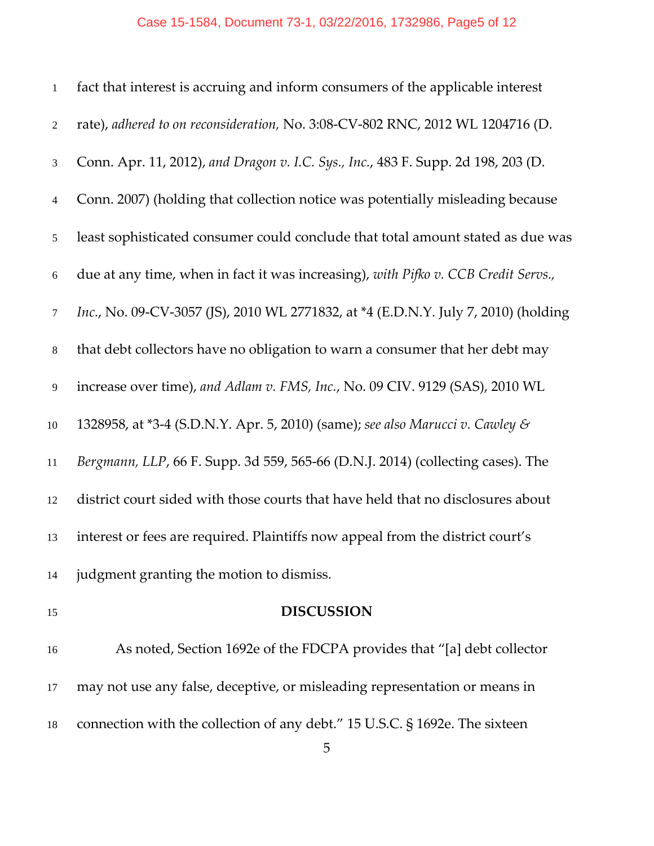### Case 15-1584, Document 73-1, 03/22/2016, 1732986, Page5 of 12

| $\mathbf{1}$   | fact that interest is accruing and inform consumers of the applicable interest     |
|----------------|------------------------------------------------------------------------------------|
| $\sqrt{2}$     | rate), adhered to on reconsideration, No. 3:08-CV-802 RNC, 2012 WL 1204716 (D.     |
| $\mathfrak{Z}$ | Conn. Apr. 11, 2012), and Dragon v. I.C. Sys., Inc., 483 F. Supp. 2d 198, 203 (D.  |
| $\overline{4}$ | Conn. 2007) (holding that collection notice was potentially misleading because     |
| 5              | least sophisticated consumer could conclude that total amount stated as due was    |
| $6\,$          | due at any time, when in fact it was increasing), with Pifko v. CCB Credit Servs., |
| $\tau$         | Inc., No. 09-CV-3057 (JS), 2010 WL 2771832, at *4 (E.D.N.Y. July 7, 2010) (holding |
| $\,8\,$        | that debt collectors have no obligation to warn a consumer that her debt may       |
| 9              | increase over time), and Adlam v. FMS, Inc., No. 09 CIV. 9129 (SAS), 2010 WL       |
| 10             | 1328958, at *3-4 (S.D.N.Y. Apr. 5, 2010) (same); see also Marucci v. Cawley &      |
| 11             | Bergmann, LLP, 66 F. Supp. 3d 559, 565-66 (D.N.J. 2014) (collecting cases). The    |
| 12             | district court sided with those courts that have held that no disclosures about    |
| 13             | interest or fees are required. Plaintiffs now appeal from the district court's     |
| 14             | judgment granting the motion to dismiss.                                           |
| 15             | <b>DISCUSSION</b>                                                                  |
| 16             | As noted, Section 1692e of the FDCPA provides that "[a] debt collector             |
|                |                                                                                    |

connection with the collection of any debt." 15 U.S.C. § 1692e. The sixteen

may not use any false, deceptive, or misleading representation or means in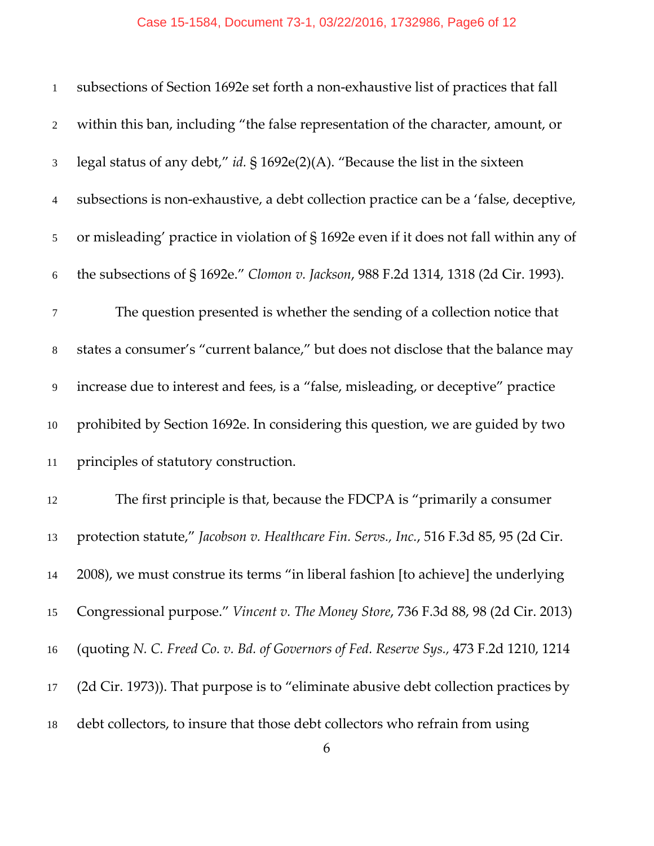| $\mathbf{1}$   | subsections of Section 1692e set forth a non-exhaustive list of practices that fall     |
|----------------|-----------------------------------------------------------------------------------------|
| $\overline{2}$ | within this ban, including "the false representation of the character, amount, or       |
| 3              | legal status of any debt," id. $\S$ 1692e(2)(A). "Because the list in the sixteen       |
| 4              | subsections is non-exhaustive, a debt collection practice can be a 'false, deceptive,   |
| 5              | or misleading' practice in violation of §1692e even if it does not fall within any of   |
| 6              | the subsections of §1692e." Clomon v. Jackson, 988 F.2d 1314, 1318 (2d Cir. 1993).      |
| $\tau$         | The question presented is whether the sending of a collection notice that               |
| 8              | states a consumer's "current balance," but does not disclose that the balance may       |
| 9              | increase due to interest and fees, is a "false, misleading, or deceptive" practice      |
| 10             | prohibited by Section 1692e. In considering this question, we are guided by two         |
| 11             | principles of statutory construction.                                                   |
| 12             | The first principle is that, because the FDCPA is "primarily a consumer                 |
| 13             | protection statute," Jacobson v. Healthcare Fin. Servs., Inc., 516 F.3d 85, 95 (2d Cir. |
| 14             | 2008), we must construe its terms "in liberal fashion [to achieve] the underlying       |
| 15             | Congressional purpose." Vincent v. The Money Store, 736 F.3d 88, 98 (2d Cir. 2013)      |
| 16             | (quoting N. C. Freed Co. v. Bd. of Governors of Fed. Reserve Sys., 473 F.2d 1210, 1214  |
| 17             | (2d Cir. 1973)). That purpose is to "eliminate abusive debt collection practices by     |
| 18             | debt collectors, to insure that those debt collectors who refrain from using            |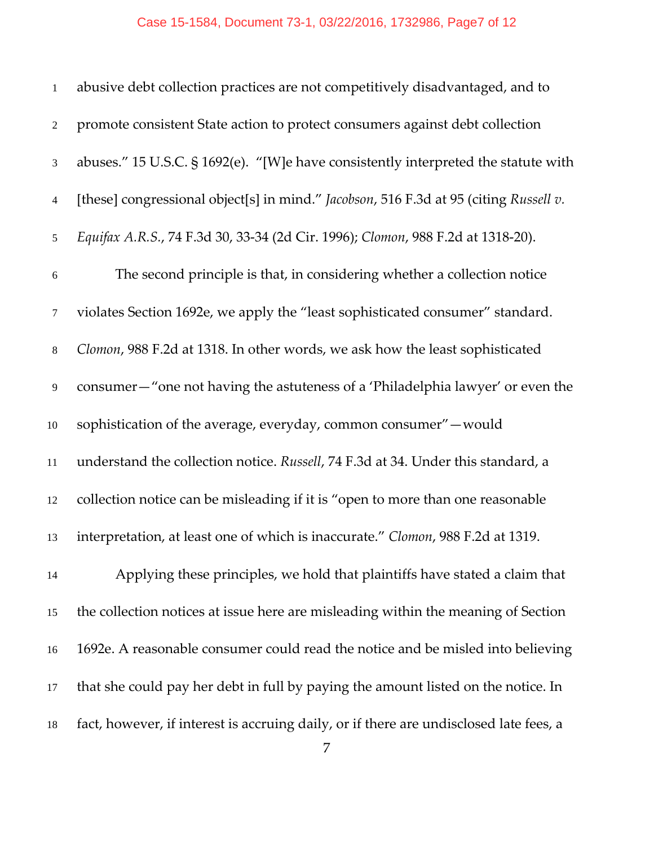# Case 15-1584, Document 73-1, 03/22/2016, 1732986, Page7 of 12

| $\mathbf{1}$    | abusive debt collection practices are not competitively disadvantaged, and to          |
|-----------------|----------------------------------------------------------------------------------------|
| $\overline{2}$  | promote consistent State action to protect consumers against debt collection           |
| 3               | abuses." 15 U.S.C. § 1692(e). "[W]e have consistently interpreted the statute with     |
| $\overline{4}$  | [these] congressional object[s] in mind." Jacobson, 516 F.3d at 95 (citing Russell v.  |
| $5\overline{)}$ | Equifax A.R.S., 74 F.3d 30, 33-34 (2d Cir. 1996); Clomon, 988 F.2d at 1318-20).        |
| 6               | The second principle is that, in considering whether a collection notice               |
| $\tau$          | violates Section 1692e, we apply the "least sophisticated consumer" standard.          |
| $8\,$           | Clomon, 988 F.2d at 1318. In other words, we ask how the least sophisticated           |
| 9               | consumer-"one not having the astuteness of a 'Philadelphia lawyer' or even the         |
| 10              | sophistication of the average, everyday, common consumer" - would                      |
| 11              | understand the collection notice. Russell, 74 F.3d at 34. Under this standard, a       |
| 12              | collection notice can be misleading if it is "open to more than one reasonable         |
| 13              | interpretation, at least one of which is inaccurate." Clomon, 988 F.2d at 1319.        |
| 14              | Applying these principles, we hold that plaintiffs have stated a claim that            |
| 15              | the collection notices at issue here are misleading within the meaning of Section      |
| 16              | 1692e. A reasonable consumer could read the notice and be misled into believing        |
| 17              | that she could pay her debt in full by paying the amount listed on the notice. In      |
| 18              | fact, however, if interest is accruing daily, or if there are undisclosed late fees, a |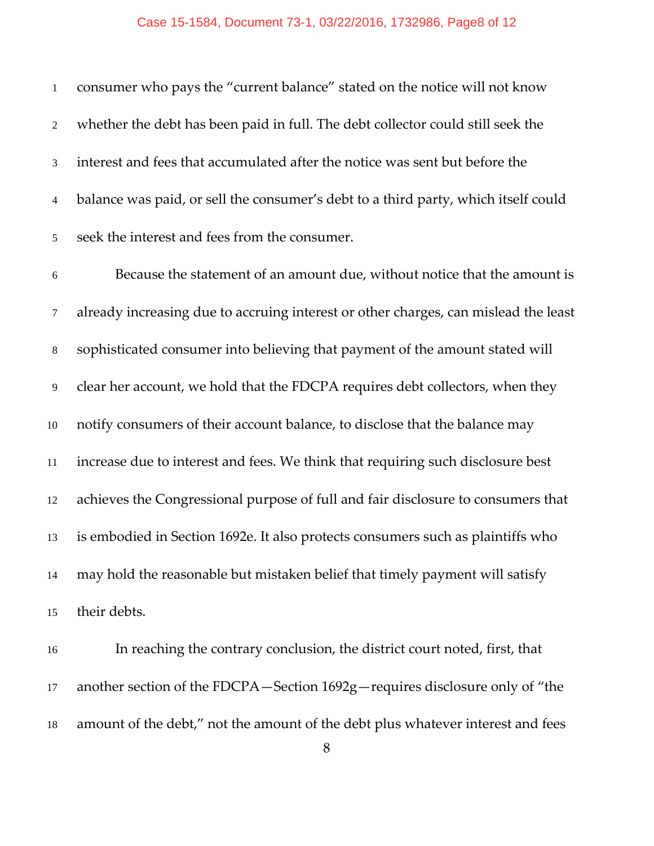| $\mathbf{1}$     | consumer who pays the "current balance" stated on the notice will not know          |
|------------------|-------------------------------------------------------------------------------------|
| $\boldsymbol{2}$ | whether the debt has been paid in full. The debt collector could still seek the     |
| $\mathfrak{Z}$   | interest and fees that accumulated after the notice was sent but before the         |
| $\overline{4}$   | balance was paid, or sell the consumer's debt to a third party, which itself could  |
| $\sqrt{5}$       | seek the interest and fees from the consumer.                                       |
| $\sqrt{6}$       | Because the statement of an amount due, without notice that the amount is           |
| $\tau$           | already increasing due to accruing interest or other charges, can mislead the least |
| $\,8\,$          | sophisticated consumer into believing that payment of the amount stated will        |
| 9                | clear her account, we hold that the FDCPA requires debt collectors, when they       |
| 10               | notify consumers of their account balance, to disclose that the balance may         |
| 11               | increase due to interest and fees. We think that requiring such disclosure best     |
| 12               | achieves the Congressional purpose of full and fair disclosure to consumers that    |
| 13               | is embodied in Section 1692e. It also protects consumers such as plaintiffs who     |
| 14               | may hold the reasonable but mistaken belief that timely payment will satisfy        |
| 15               | their debts.                                                                        |
| 16               | In reaching the contrary conclusion, the district court noted, first, that          |
| 17               | another section of the FDCPA-Section 1692g-requires disclosure only of "the         |

amount of the debt," not the amount of the debt plus whatever interest and fees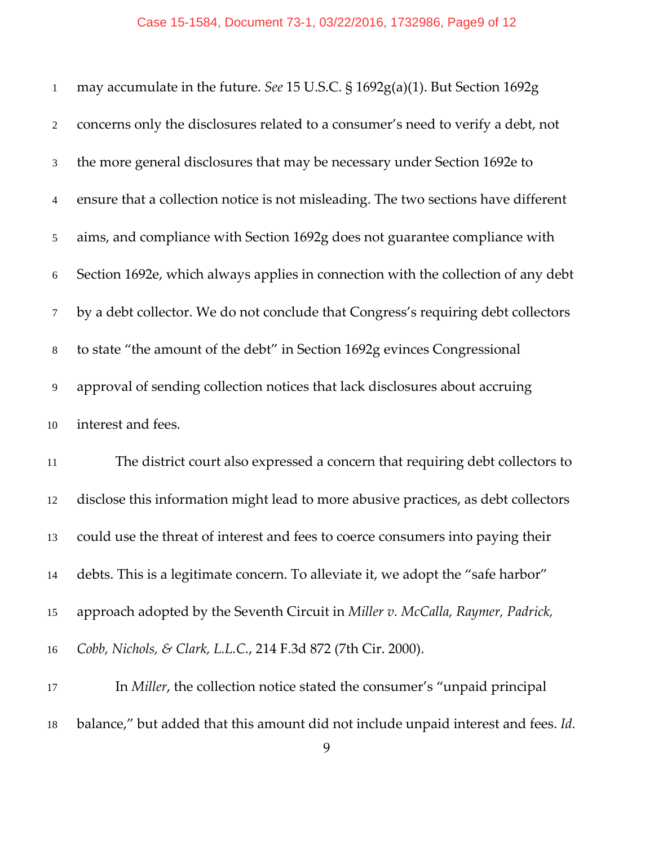| $\mathbf{1}$   | may accumulate in the future. See 15 U.S.C. § 1692g(a)(1). But Section 1692g       |
|----------------|------------------------------------------------------------------------------------|
| $\overline{2}$ | concerns only the disclosures related to a consumer's need to verify a debt, not   |
| $\mathfrak{Z}$ | the more general disclosures that may be necessary under Section 1692e to          |
| $\overline{4}$ | ensure that a collection notice is not misleading. The two sections have different |
| $\sqrt{5}$     | aims, and compliance with Section 1692g does not guarantee compliance with         |
| 6              | Section 1692e, which always applies in connection with the collection of any debt  |
| $\tau$         | by a debt collector. We do not conclude that Congress's requiring debt collectors  |
| $8\,$          | to state "the amount of the debt" in Section 1692g evinces Congressional           |
| 9              | approval of sending collection notices that lack disclosures about accruing        |
| 10             | interest and fees.                                                                 |
| 11             | The district court also expressed a concern that requiring debt collectors to      |
| 12             | disclose this information might lead to more abusive practices, as debt collectors |
| 13             | could use the threat of interest and fees to coerce consumers into paying their    |
| 14             | debts. This is a legitimate concern. To alleviate it, we adopt the "safe harbor"   |
| 15             | approach adopted by the Seventh Circuit in Miller v. McCalla, Raymer, Padrick,     |
| 16             | Cobb, Nichols, & Clark, L.L.C., 214 F.3d 872 (7th Cir. 2000).                      |
| 17             | In Miller, the collection notice stated the consumer's "unpaid principal           |

balance," but added that this amount did not include unpaid interest and fees. *Id.*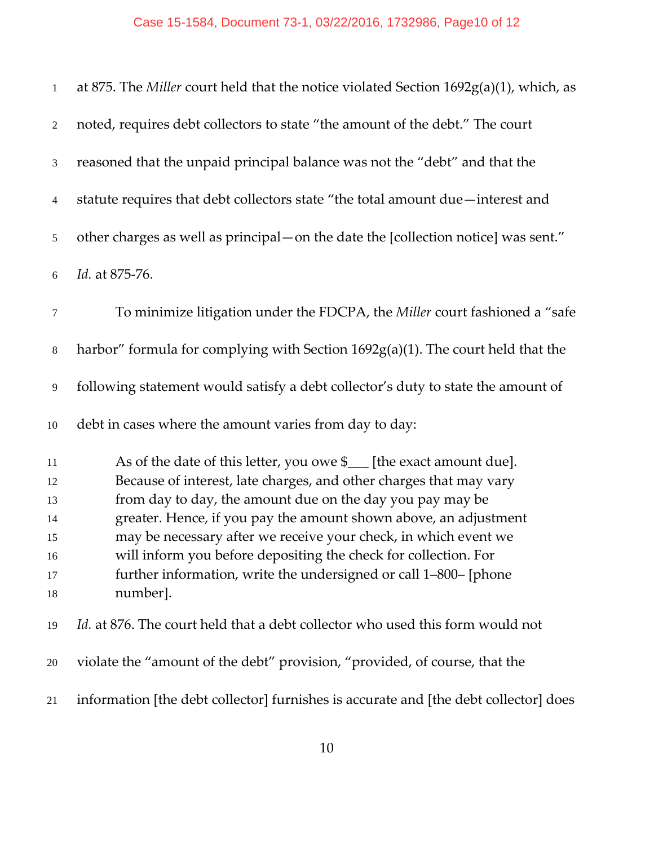| $\mathbf{1}$   | at 875. The Miller court held that the notice violated Section $1692g(a)(1)$ , which, as |
|----------------|------------------------------------------------------------------------------------------|
| $\overline{2}$ | noted, requires debt collectors to state "the amount of the debt." The court             |
| 3              | reasoned that the unpaid principal balance was not the "debt" and that the               |
| $\overline{4}$ | statute requires that debt collectors state "the total amount due—interest and           |
| 5              | other charges as well as principal — on the date the [collection notice] was sent."      |
| $\sqrt{6}$     | Id. at 875-76.                                                                           |
| 7              | To minimize litigation under the FDCPA, the Miller court fashioned a "safe"              |
| $\,8\,$        | harbor" formula for complying with Section 1692g(a)(1). The court held that the          |
| 9              | following statement would satisfy a debt collector's duty to state the amount of         |
| 10             | debt in cases where the amount varies from day to day:                                   |
| 11             | As of the date of this letter, you owe \$<br>[the exact amount due].                     |
| 12             | Because of interest, late charges, and other charges that may vary                       |
| 13             | from day to day, the amount due on the day you pay may be                                |
| 14             | greater. Hence, if you pay the amount shown above, an adjustment                         |
| 15             | may be necessary after we receive your check, in which event we                          |
| 16             | will inform you before depositing the check for collection. For                          |
| 17             | further information, write the undersigned or call 1-800- [phone                         |
| 18             | number].                                                                                 |
| 19             | <i>Id.</i> at 876. The court held that a debt collector who used this form would not     |
| 20             | violate the "amount of the debt" provision, "provided, of course, that the               |
| 21             | information [the debt collector] furnishes is accurate and [the debt collector] does     |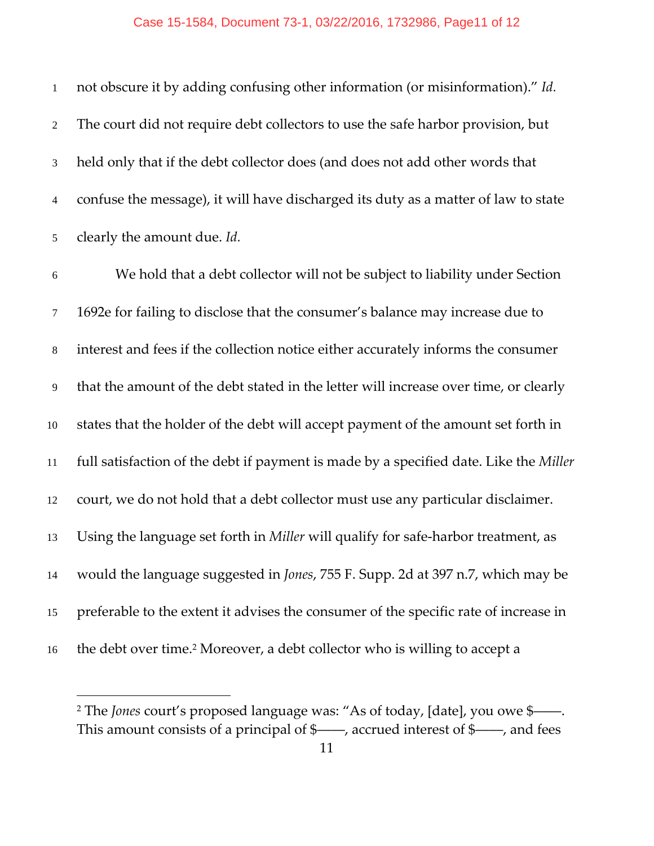not obscure it by adding confusing other information (or misinformation)." *Id.* The court did not require debt collectors to use the safe harbor provision, but held only that if the debt collector does (and does not add other words that confuse the message), it will have discharged its duty as a matter of law to state clearly the amount due. *Id.*

We hold that a debt collector will not be subject to liability under Section 1692e for failing to disclose that the consumer's balance may increase due to interest and fees if the collection notice either accurately informs the consumer that the amount of the debt stated in the letter will increase over time, or clearly states that the holder of the debt will accept payment of the amount set forth in full satisfaction of the debt if payment is made by a specified date. Like the *Miller* court, we do not hold that a debt collector must use any particular disclaimer. Using the language set forth in *Miller* will qualify for safe‐harbor treatment, as would the language suggested in *Jones*, 755 F. Supp. 2d at 397 n.7, which may be preferable to the extent it advises the consumer of the specific rate of increase in 16 the debt over time.<sup>2</sup> Moreover, a debt collector who is willing to accept a

 $\overline{a}$ 

<sup>&</sup>lt;sup>2</sup> The *Jones* court's proposed language was: "As of today, [date], you owe \$-This amount consists of a principal of \$——, accrued interest of \$——, and fees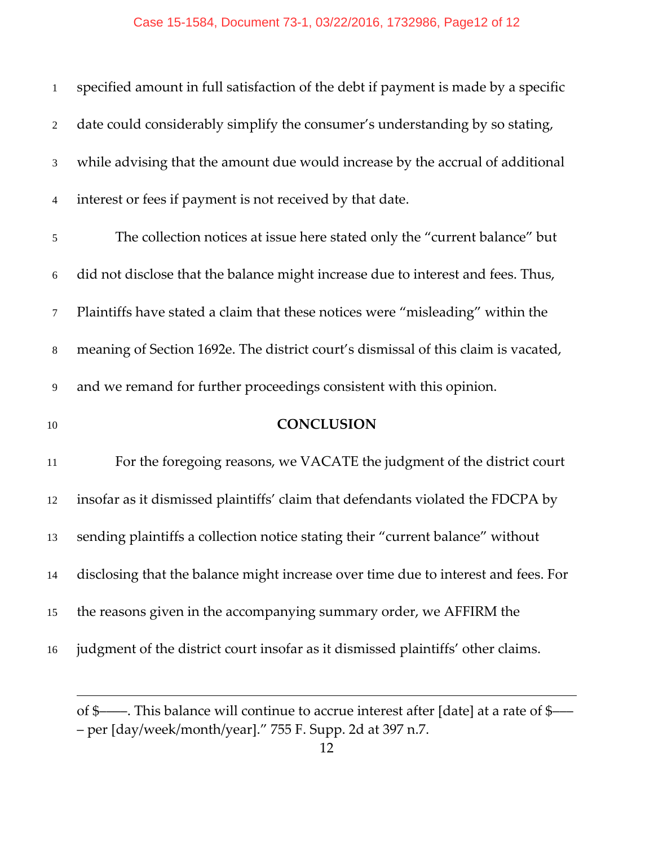## Case 15-1584, Document 73-1, 03/22/2016, 1732986, Page12 of 12

| $\mathbf{1}$   | specified amount in full satisfaction of the debt if payment is made by a specific |
|----------------|------------------------------------------------------------------------------------|
| $\overline{2}$ | date could considerably simplify the consumer's understanding by so stating,       |
| 3              | while advising that the amount due would increase by the accrual of additional     |
| $\overline{4}$ | interest or fees if payment is not received by that date.                          |
| $\sqrt{5}$     | The collection notices at issue here stated only the "current balance" but         |
| $\sqrt{6}$     | did not disclose that the balance might increase due to interest and fees. Thus,   |
| $\tau$         | Plaintiffs have stated a claim that these notices were "misleading" within the     |
| $8\,$          | meaning of Section 1692e. The district court's dismissal of this claim is vacated, |
| 9              | and we remand for further proceedings consistent with this opinion.                |
| 10             | <b>CONCLUSION</b>                                                                  |
| 11             | For the foregoing reasons, we VACATE the judgment of the district court            |
| 12             | insofar as it dismissed plaintiffs' claim that defendants violated the FDCPA by    |
| 13             | sending plaintiffs a collection notice stating their "current balance" without     |
| 14             | disclosing that the balance might increase over time due to interest and fees. For |
| 15             | the reasons given in the accompanying summary order, we AFFIRM the                 |
| 16             | judgment of the district court insofar as it dismissed plaintiffs' other claims.   |
|                |                                                                                    |

of \$––––. This balance will continue to accrue interest after [date] at a rate of \$––– – per [day/week/month/year]." 755 F. Supp. 2d at 397 n.7.

 $\overline{a}$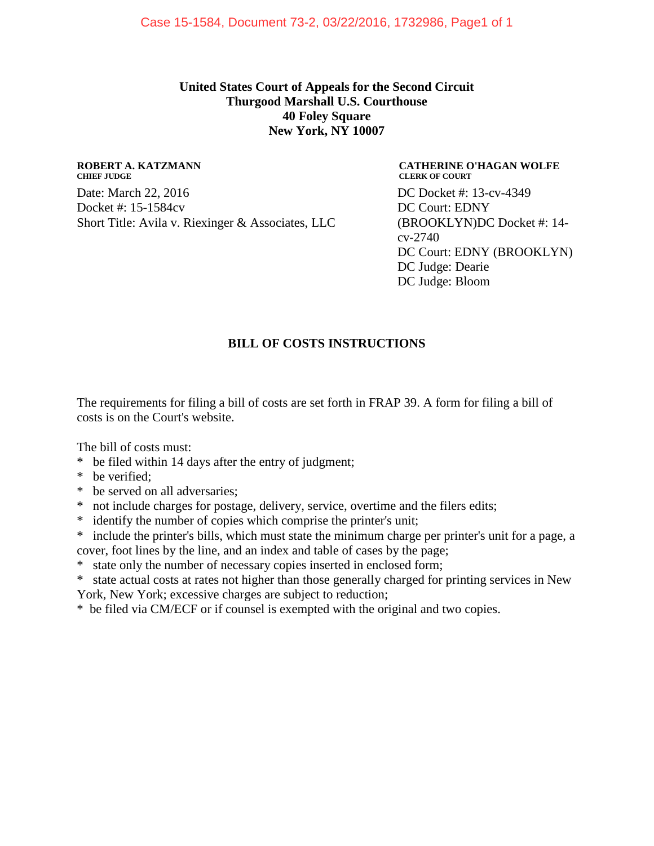**United States Court of Appeals for the Second Circuit Thurgood Marshall U.S. Courthouse 40 Foley Square New York, NY 10007**

#### **ROBERT A. KATZMANN CHIEF JUDGE**

Date: March 22, 2016 Docket #: 15-1584cv Short Title: Avila v. Riexinger & Associates, LLC

**CATHERINE O'HAGAN WOLFE CLERK OF COURT** DC Docket #: 13-cv-4349 DC Court: EDNY (BROOKLYN)DC Docket #: 14 cv-2740 DC Court: EDNY (BROOKLYN) DC Judge: Dearie DC Judge: Bloom

### **BILL OF COSTS INSTRUCTIONS**

The requirements for filing a bill of costs are set forth in FRAP 39. A form for filing a bill of costs is on the Court's website.

The bill of costs must:

- \* be filed within 14 days after the entry of judgment;
- \* be verified;
- \* be served on all adversaries;
- \* not include charges for postage, delivery, service, overtime and the filers edits;
- \* identify the number of copies which comprise the printer's unit;
- \* include the printer's bills, which must state the minimum charge per printer's unit for a page, a cover, foot lines by the line, and an index and table of cases by the page;
- \* state only the number of necessary copies inserted in enclosed form;
- \* state actual costs at rates not higher than those generally charged for printing services in New York, New York; excessive charges are subject to reduction;
- \* be filed via CM/ECF or if counsel is exempted with the original and two copies.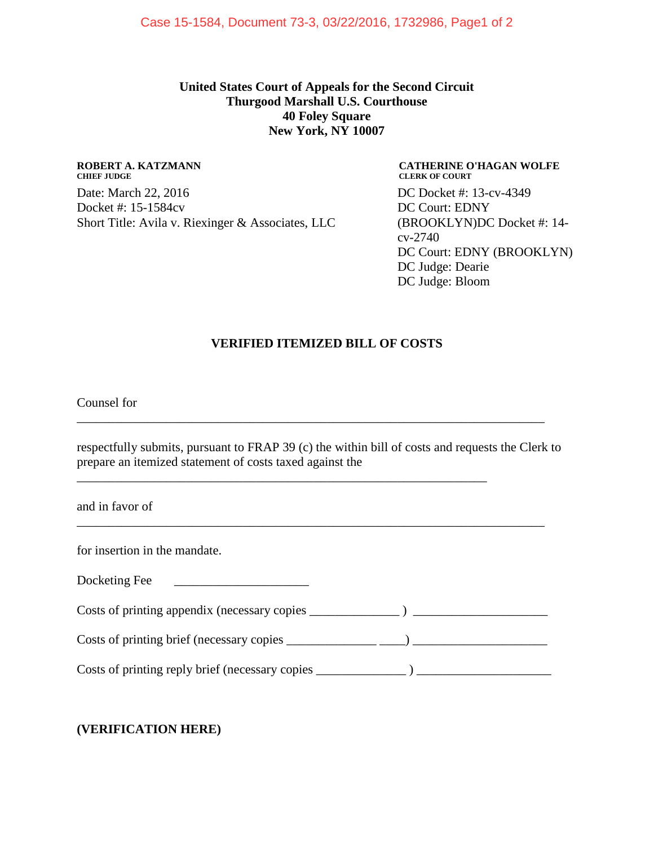#### **United States Court of Appeals for the Second Circuit Thurgood Marshall U.S. Courthouse 40 Foley Square New York, NY 10007**

#### **ROBERT A. KATZMANN CHIEF JUDGE**

Date: March 22, 2016 Docket #: 15-1584cv Short Title: Avila v. Riexinger & Associates, LLC

**CATHERINE O'HAGAN WOLFE CLERK OF COURT** DC Docket #: 13-cv-4349 DC Court: EDNY (BROOKLYN)DC Docket #: 14 cv-2740 DC Court: EDNY (BROOKLYN) DC Judge: Dearie DC Judge: Bloom

#### **VERIFIED ITEMIZED BILL OF COSTS**

Counsel for

respectfully submits, pursuant to FRAP 39 (c) the within bill of costs and requests the Clerk to prepare an itemized statement of costs taxed against the

\_\_\_\_\_\_\_\_\_\_\_\_\_\_\_\_\_\_\_\_\_\_\_\_\_\_\_\_\_\_\_\_\_\_\_\_\_\_\_\_\_\_\_\_\_\_\_\_\_\_\_\_\_\_\_\_\_\_\_\_\_\_\_\_\_\_\_\_\_\_\_\_\_

\_\_\_\_\_\_\_\_\_\_\_\_\_\_\_\_\_\_\_\_\_\_\_\_\_\_\_\_\_\_\_\_\_\_\_\_\_\_\_\_\_\_\_\_\_\_\_\_\_\_\_\_\_\_\_\_\_\_\_\_\_\_\_\_

and in favor of

for insertion in the mandate.

Docketing Fee

Costs of printing appendix (necessary copies \_\_\_\_\_\_\_\_\_\_\_\_\_\_\_\_\_\_\_\_\_\_\_\_\_\_\_\_\_\_\_\_\_\_\_

\_\_\_\_\_\_\_\_\_\_\_\_\_\_\_\_\_\_\_\_\_\_\_\_\_\_\_\_\_\_\_\_\_\_\_\_\_\_\_\_\_\_\_\_\_\_\_\_\_\_\_\_\_\_\_\_\_\_\_\_\_\_\_\_\_\_\_\_\_\_\_\_\_

 $\text{Costs of printing brief (necessary copies } \underline{\hspace{1cm}} \underline{\hspace{1cm}}$ 

 $\text{Costs of printing reply brief (necessary copies } \underline{\hspace{1cm}})$ 

### **(VERIFICATION HERE)**